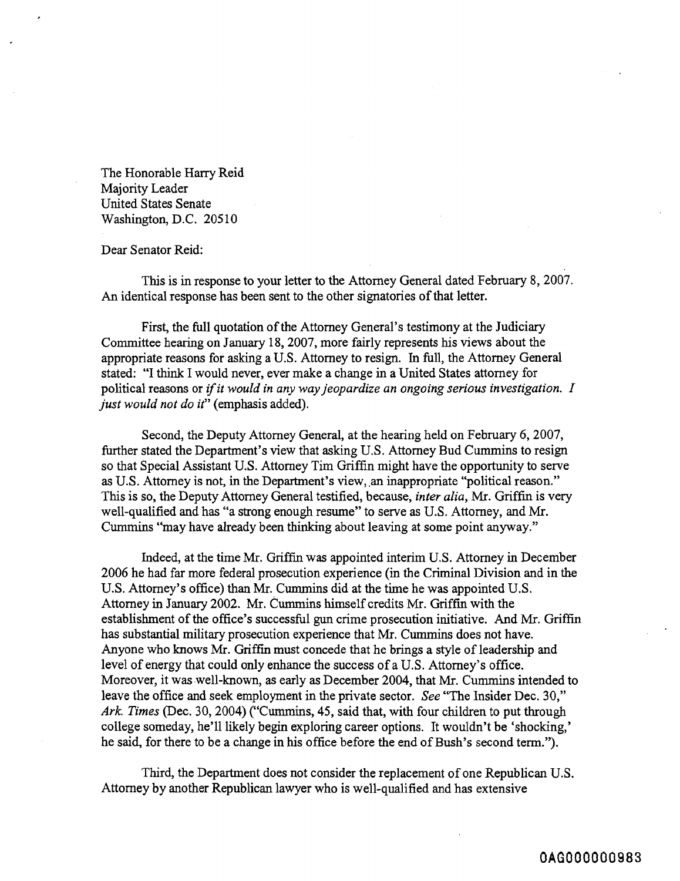The Honorable Harry Reid Majority Leader United States Senate Washington, D.C. 20510

## Dear Senator Reid:

This is in response to your letter to the Attorney General dated February 8,2007. An identical response has been sent to the other signatories of that letter.

First, the full quotation of the Attorney General's testimony at the Judiciary Committee hearing on January 18,2007, more fairly represents his views about the appropriate reasons for asking a U.S. Attorney to resign. In full, the Attorney General stated: "I think I would never, ever make a change in a United States attorney for political reasons or if it would in any way jeopardize an ongoing serious investigation. I just would not do it" (emphasis added).

Second, the Deputy Attorney General, at the hearing held on February 6, 2007, further stated the Department's view that asking U.S. Attorney Bud Cummins to resign so that Special Assistant U.S. Attorney Tim Griffin might have the opportunity to serve as U.S. Attorney is not, in the Department's view, an inappropriate "political reason." This is so, the Deputy Attorney General testified, because, inter alia, Mr. Griffin is very well-qualified and has "a strong enough resume" to serve as U.S. Attorney, and Mr. Cummins "may have already been thinking about leaving at some point anyway."

Indeed, at the time Mr. Griffin was appointed interim U.S. Attorney in December 2006 he had far more federal prosecution experience (in the Criminal Division and in the U.S. Attorney's office) than Mr. Cummins did at the time he was appointed U.S. Attorney in January 2002. Mr. Cummins himself credits Mr. Griffin with the establishment of the office's successful gun crime prosecution initiative. And Mr. Griffin has substantial military prosecution experience that Mr. Cummins does not have. Anyone who knows Mr. Griffin must concede that he brings a style of leadership and level of energy that could only enhance the success of a U.S. Attorney's office. Moreover, it was well-known, as early as December 2004, that Mr. Cummins intended to leave the office and seek employment in the private sector. See "The Insider Dec. 30," Ark. Times (Dec. 30, 2004) ("Cummins, 45, said that, with four children to put through college someday, he'll likely begin exploring career options. It wouldn't be 'shocking,' he said, for there to be a change in his office before the end of Bush's second term.").

Third, the Department does not consider the replacement of one Republican U.S. Attorney by another Republican lawyer who is well-qualified and has extensive